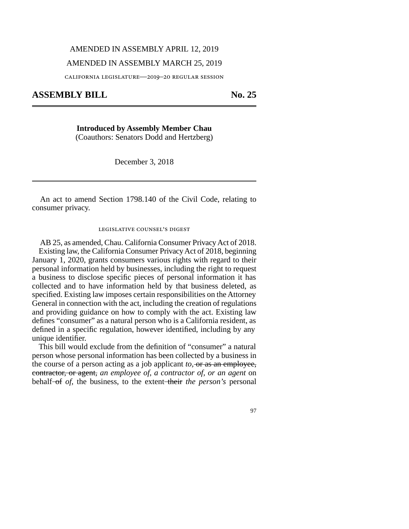## AMENDED IN ASSEMBLY APRIL 12, 2019

## AMENDED IN ASSEMBLY MARCH 25, 2019

california legislature—2019–20 regular session

**ASSEMBLY BILL No. 25** 

**Introduced by Assembly Member Chau**  (Coauthors: Senators Dodd and Hertzberg)

December 3, 2018

An act to amend Section 1798.140 of the Civil Code, relating to consumer privacy.

legislative counsel's digest

AB 25, as amended, Chau. California Consumer Privacy Act of 2018. Existing law, the California Consumer Privacy Act of 2018, beginning January 1, 2020, grants consumers various rights with regard to their personal information held by businesses, including the right to request a business to disclose specific pieces of personal information it has collected and to have information held by that business deleted, as specified. Existing law imposes certain responsibilities on the Attorney General in connection with the act, including the creation of regulations and providing guidance on how to comply with the act. Existing law defines "consumer" as a natural person who is a California resident, as defined in a specific regulation, however identified, including by any unique identifier.

This bill would exclude from the definition of "consumer" a natural person whose personal information has been collected by a business in the course of a person acting as a job applicant *to,* or as an employee, contractor, or agent, *an employee of, a contractor of, or an agent* on behalf-of *of*, the business, to the extent-their the person's personal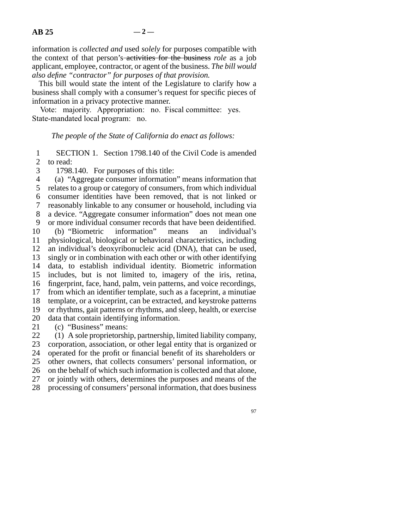information is *collected and* used *solely* for purposes compatible with the context of that person's activities for the business *role* as a job applicant, employee, contractor, or agent of the business. *The bill would also define "contractor" for purposes of that provision.*

This bill would state the intent of the Legislature to clarify how a business shall comply with a consumer's request for specific pieces of information in a privacy protective manner.

Vote: majority. Appropriation: no. Fiscal committee: yes. State-mandated local program: no.

## *The people of the State of California do enact as follows:*

1 SECTION 1. Section 1798.140 of the Civil Code is amended<br>2 to read: to read:

 $1798.140$ . For purposes of this title:

 line 4 (a) "Aggregate consumer information" means information that 5 relates to a group or category of consumers, from which individual line 6 consumer identities have been removed, that is not linked or 7 reasonably linkable to any consumer or household, including via 8 a device. "Aggregate consumer information" does not mean one 9 or more individual consumer records that have been deidentified. line 10 (b) "Biometric information" means an individual's 11 physiological, biological or behavioral characteristics, including 12 an individual's deoxyribonucleic acid (DNA), that can be used, 13 singly or in combination with each other or with other identifying 14 data, to establish individual identity. Biometric information 15 includes, but is not limited to, imagery of the iris, retina, 16 fingerprint, face, hand, palm, vein patterns, and voice recordings, 17 from which an identifier template, such as a faceprint, a minutiae 18 template, or a voiceprint, can be extracted, and keystroke patterns 19 or rhythms, gait patterns or rhythms, and sleep, health, or exercise 20 data that contain identifying information.<br>21 (c) "Business" means:

21 (c) "Business" means:<br>22 (1) A sole proprietorship

(1) A sole proprietorship, partnership, limited liability company, 23 corporation, association, or other legal entity that is organized or 24 operated for the profit or financial benefit of its shareholders or 25 other owners, that collects consumers' personal information, or 26 on the behalf of which such information is collected and that alone,<br>27 or jointly with others, determines the purposes and means of the or jointly with others, determines the purposes and means of the 28 processing of consumers' personal information, that does business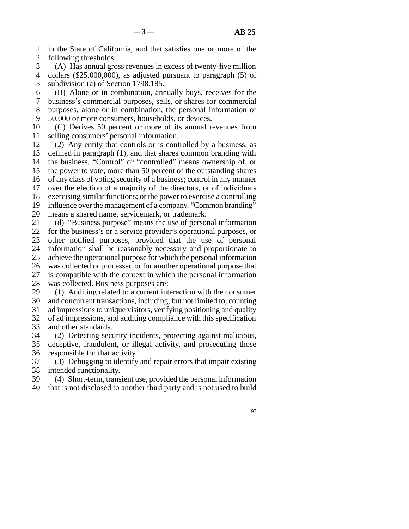line 1 in the State of California, and that satisfies one or more of the 2 following thresholds:<br>3  $(A)$  Has annual gro

 $(A)$  Has annual gross revenues in excess of twenty-five million 4 dollars (\$25,000,000), as adjusted pursuant to paragraph (5) of 5 subdivision (a) of Section 1798.185.

 line 6 (B) Alone or in combination, annually buys, receives for the 7 business's commercial purposes, sells, or shares for commercial 8 purposes, alone or in combination, the personal information of 9 50,000 or more consumers, households, or devices.

50,000 or more consumers, households, or devices.

10 (C) Derives 50 percent or more of its annual revenues from 11 selling consumers' personal information.

 $12$  (2) Any entity that controls or is controlled by a business, as 13 defined in paragraph (1), and that shares common branding with 14 the business. "Control" or "controlled" means ownership of, or 15 the power to vote, more than 50 percent of the outstanding shares 16 of any class of voting security of a business; control in any manner 17 over the election of a majority of the directors, or of individuals 18 exercising similar functions; or the power to exercise a controlling 19 influence over the management of a company. "Common branding" 20 means a shared name, servicemark, or trademark.

21 (d) "Business purpose" means the use of personal information 22 for the business's or a service provider's operational purposes, or 23 other notified purposes, provided that the use of personal 24 information shall be reasonably necessary and proportionate to 25 achieve the operational purpose for which the personal information achieve the operational purpose for which the personal information 26 was collected or processed or for another operational purpose that 27 is compatible with the context in which the personal information 28 was collected. Business purposes are:

 $29$  (1) Auditing related to a current interaction with the consumer 30 and concurrent transactions, including, but not limited to, counting 31 ad impressions to unique visitors, verifying positioning and quality

32 of ad impressions, and auditing compliance with this specification 33 and other standards.

34 (2) Detecting security incidents, protecting against malicious, 35 deceptive, fraudulent, or illegal activity, and prosecuting those 36 responsible for that activity.

37 (3) Debugging to identify and repair errors that impair existing 38 intended functionality.

39 (4) Short-term, transient use, provided the personal information 40 that is not disclosed to another third party and is not used to build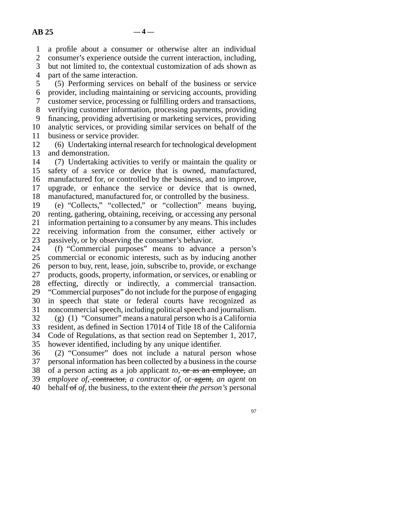line 1 a profile about a consumer or otherwise alter an individual

2 consumer's experience outside the current interaction, including,<br>3 but not limited to, the contextual customization of ads shown as

but not limited to, the contextual customization of ads shown as

4 part of the same interaction.

 line 5 (5) Performing services on behalf of the business or service line 6 provider, including maintaining or servicing accounts, providing line 7 customer service, processing or fulfilling orders and transactions, 8 verifying customer information, processing payments, providing 9 financing, providing advertising or marketing services, providing 10 analytic services, or providing similar services on behalf of the 11 business or service provider.

12 (6) Undertaking internal research for technological development 13 and demonstration.<br>14 (7) Undertaking

 line 14 (7) Undertaking activities to verify or maintain the quality or 15 safety of a service or device that is owned, manufactured, 16 manufactured for, or controlled by the business, and to improve, 17 upgrade, or enhance the service or device that is owned, 18 manufactured, manufactured for, or controlled by the business.

19 (e) "Collects," "collected," or "collection" means buying, 20 renting, gathering, obtaining, receiving, or accessing any personal 21 information pertaining to a consumer by any means. This includes 22 receiving information from the consumer, either actively or

23 passively, or by observing the consumer's behavior. 24 (f) "Commercial purposes" means to advance a person's 25 commercial or economic interests, such as by inducing another

commercial or economic interests, such as by inducing another 26 person to buy, rent, lease, join, subscribe to, provide, or exchange 27 products, goods, property, information, or services, or enabling or 28 effecting, directly or indirectly, a commercial transaction. 29 "Commercial purposes" do not include for the purpose of engaging 30 in speech that state or federal courts have recognized as 31 noncommercial speech, including political speech and journalism.

 $\delta$  (g) (1) "Consumer" means a natural person who is a California 33 resident, as defined in Section 17014 of Title 18 of the California 34 Code of Regulations, as that section read on September 1, 2017, 35 however identified, including by any unique identifier.

36 (2) "Consumer" does not include a natural person whose 37 personal information has been collected by a business in the course line 38 of a person acting as a job applicant *to,* or as an employee, *an*  39 *employee of*, contractor, *a contractor of*, or agent, *an agent* on

line 40 behalf of *of,* the business, to the extent their *the person's* personal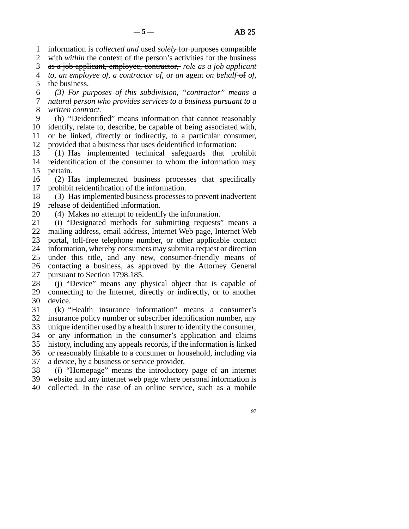1 information is *collected and* used *solely* for purposes compatible

2 with *within* the context of the person's activities for the business

 line 3 as a job applicant, employee, contractor, *role as a job applicant*  line 4 *to, an employee of, a contractor of,* or *an* agent *on behalf* of *of,*

5 the business.

 line 6 *(3) For purposes of this subdivision, "contractor" means a*  line 7 *natural person who provides services to a business pursuant to a*  8 *written contract.* 

9 (h) "Deidentified" means information that cannot reasonably 10 identify, relate to, describe, be capable of being associated with, 11 or be linked, directly or indirectly, to a particular consumer,

12 provided that a business that uses deidentified information:

13 (1) Has implemented technical safeguards that prohibit 14 reidentification of the consumer to whom the information may 15 pertain.

16 (2) Has implemented business processes that specifically 17 prohibit reidentification of the information.

18 (3) Has implemented business processes to prevent inadvertent 19 release of deidentified information.

20 (4) Makes no attempt to reidentify the information.

21 (i) "Designated methods for submitting requests" means a 22 mailing address, email address, Internet Web page, Internet Web 23 portal, toll-free telephone number, or other applicable contact 24 information, whereby consumers may submit a request or direction<br>25 under this title, and any new, consumer-friendly means of under this title, and any new, consumer-friendly means of 26 contacting a business, as approved by the Attorney General 27 pursuant to Section 1798.185.

28 (i) "Device" means any physical object that is capable of 29 connecting to the Internet, directly or indirectly, or to another 30 device.

 line 31 (k) "Health insurance information" means a consumer's 32 insurance policy number or subscriber identification number, any 33 unique identifier used by a health insurer to identify the consumer, 34 or any information in the consumer's application and claims 35 history, including any appeals records, if the information is linked

36 or reasonably linkable to a consumer or household, including via 37 a device, by a business or service provider.

 line 38 (*l*) "Homepage" means the introductory page of an internet 39 website and any internet web page where personal information is 40 collected. In the case of an online service, such as a mobile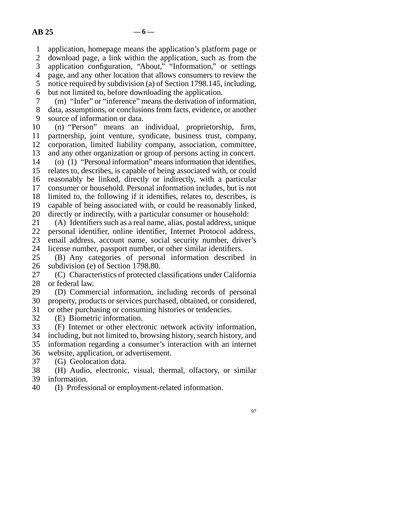line 1 application, homepage means the application's platform page or

2 download page, a link within the application, such as from the application configuration, "About," "Information," or settings application configuration, "About," "Information," or settings

line 4 page, and any other location that allows consumers to review the

5 notice required by subdivision (a) of Section 1798.145, including,

6 but not limited to, before downloading the application.

 line 7 (m) "Infer" or "inference" means the derivation of information, 8 data, assumptions, or conclusions from facts, evidence, or another

9 source of information or data.

10 (n) "Person" means an individual, proprietorship, firm, 11 partnership, joint venture, syndicate, business trust, company, 12 corporation, limited liability company, association, committee, 13 and any other organization or group of persons acting in concert.

14 (o) (1) "Personal information" means information that identifies, 15 relates to, describes, is capable of being associated with, or could 16 reasonably be linked, directly or indirectly, with a particular 17 consumer or household. Personal information includes, but is not 18 limited to, the following if it identifies, relates to, describes, is 19 capable of being associated with, or could be reasonably linked,

20 directly or indirectly, with a particular consumer or household:

21 (A) Identifiers such as a real name, alias, postal address, unique 22 personal identifier, online identifier, Internet Protocol address,

23 email address, account name, social security number, driver's

24 license number, passport number, or other similar identifiers.<br>25 (B) Any categories of personal information described

(B) Any categories of personal information described in 26 subdivision (e) of Section  $1798.80$ .

27 (C) Characteristics of protected classifications under California 28 or federal law.

29 (D) Commercial information, including records of personal 30 property, products or services purchased, obtained, or considered,

31 or other purchasing or consuming histories or tendencies.

32 (E) Biometric information.<br>33 (F) Internet or other electric

(F) Internet or other electronic network activity information,

34 including, but not limited to, browsing history, search history, and

35 information regarding a consumer's interaction with an internet

36 website, application, or advertisement.

37 (G) Geolocation data.

38 (H) Audio, electronic, visual, thermal, olfactory, or similar 39 information.

40 (I) Professional or employment-related information.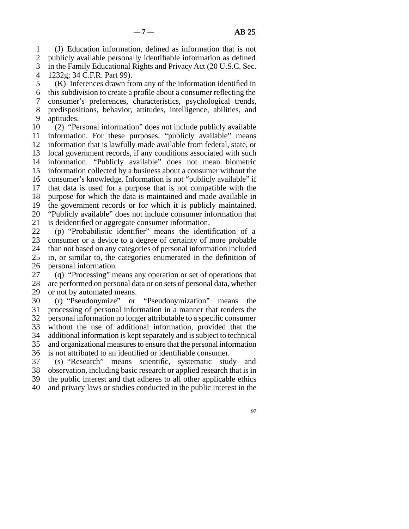line 1 (J) Education information, defined as information that is not 2 publicly available personally identifiable information as defined 3 in the Family Educational Rights and Privacy Act (20 U.S.C. Sec.) line 4 1232g; 34 C.F.R. Part 99).

5 (K) Inferences drawn from any of the information identified in line 6 this subdivision to create a profile about a consumer reflecting the line 7 consumer's preferences, characteristics, psychological trends, 8 predispositions, behavior, attitudes, intelligence, abilities, and 9 aptitudes.

10 (2) "Personal information" does not include publicly available 11 information. For these purposes, "publicly available" means 12 information that is lawfully made available from federal, state, or 13 local government records, if any conditions associated with such 14 information. "Publicly available" does not mean biometric 15 information collected by a business about a consumer without the 16 consumer's knowledge. Information is not "publicly available" if 17 that data is used for a purpose that is not compatible with the 18 purpose for which the data is maintained and made available in 19 the government records or for which it is publicly maintained. 20 "Publicly available" does not include consumer information that 21 is deidentified or aggregate consumer information.

22 (p) "Probabilistic identifier" means the identification of a<br>23 consumer or a device to a degree of certainty of more probable consumer or a device to a degree of certainty of more probable 24 than not based on any categories of personal information included<br>25 in, or similar to, the categories enumerated in the definition of in, or similar to, the categories enumerated in the definition of 26 personal information.

27 (q) "Processing" means any operation or set of operations that 28 are performed on personal data or on sets of personal data, whether 29 or not by automated means.

 line 30 (r) "Pseudonymize" or "Pseudonymization" means the 31 processing of personal information in a manner that renders the 32 personal information no longer attributable to a specific consumer 33 without the use of additional information, provided that the 34 additional information is kept separately and is subject to technical 35 and organizational measures to ensure that the personal information 36 is not attributed to an identified or identifiable consumer.

 line 37 (s) "Research" means scientific, systematic study and 38 observation, including basic research or applied research that is in 39 the public interest and that adheres to all other applicable ethics 40 and privacy laws or studies conducted in the public interest in the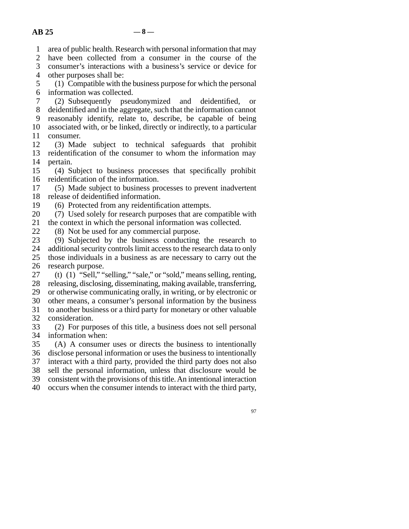line 1 area of public health. Research with personal information that may

2 have been collected from a consumer in the course of the

3 consumer's interactions with a business's service or device for 4 other purposes shall be:

5 (1) Compatible with the business purpose for which the personal 6 information was collected.

 line 7 (2) Subsequently pseudonymized and deidentified, or 8 deidentified and in the aggregate, such that the information cannot 9 reasonably identify, relate to, describe, be capable of being 10 associated with, or be linked, directly or indirectly, to a particular 11 consumer.

12 (3) Made subject to technical safeguards that prohibit 13 reidentification of the consumer to whom the information may 14 pertain.

15 (4) Subject to business processes that specifically prohibit 16 reidentification of the information.

17 (5) Made subject to business processes to prevent inadvertent 18 release of deidentified information.

19 (6) Protected from any reidentification attempts.

20 (7) Used solely for research purposes that are compatible with 21 the context in which the personal information was collected.

22 (8) Not be used for any commercial purpose.<br>23 (9) Subjected by the business conducting

(9) Subjected by the business conducting the research to

24 additional security controls limit access to the research data to only<br>25 those individuals in a business as are necessary to carry out the those individuals in a business as are necessary to carry out the 26 research purpose.

27 (t) (1) "Sell," "selling," "sale," or "sold," means selling, renting, 28 releasing, disclosing, disseminating, making available, transferring, 29 or otherwise communicating orally, in writing, or by electronic or 30 other means, a consumer's personal information by the business 31 to another business or a third party for monetary or other valuable 32 consideration.

33 (2) For purposes of this title, a business does not sell personal 34 information when:

35 (A) A consumer uses or directs the business to intentionally 36 disclose personal information or uses the business to intentionally 37 interact with a third party, provided the third party does not also 38 sell the personal information, unless that disclosure would be consistent with the provisions of this title. An intentional interaction consistent with the provisions of this title. An intentional interaction 40 occurs when the consumer intends to interact with the third party,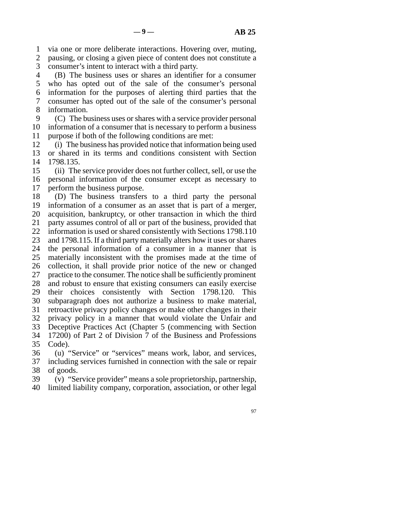line 1 via one or more deliberate interactions. Hovering over, muting, 2 pausing, or closing a given piece of content does not constitute a 3 consumer's intent to interact with a third party.

4 (B) The business uses or shares an identifier for a consumer 5 who has opted out of the sale of the consumer's personal line 6 information for the purposes of alerting third parties that the 7 consumer has opted out of the sale of the consumer's personal 8 information.

9 (C) The business uses or shares with a service provider personal 10 information of a consumer that is necessary to perform a business 11 purpose if both of the following conditions are met:

12 (i) The business has provided notice that information being used 13 or shared in its terms and conditions consistent with Section 14 1798.135.

15 (ii) The service provider does not further collect, sell, or use the 16 personal information of the consumer except as necessary to 17 perform the business purpose.

18 (D) The business transfers to a third party the personal 19 information of a consumer as an asset that is part of a merger, 20 acquisition, bankruptcy, or other transaction in which the third 21 party assumes control of all or part of the business, provided that 22 information is used or shared consistently with Sections 1798.110 23 and 1798.115. If a third party materially alters how it uses or shares 24 the personal information of a consumer in a manner that is<br>25 materially inconsistent with the promises made at the time of materially inconsistent with the promises made at the time of 26 collection, it shall provide prior notice of the new or changed 27 practice to the consumer. The notice shall be sufficiently prominent 28 and robust to ensure that existing consumers can easily exercise 29 their choices consistently with Section 1798.120. This 30 subparagraph does not authorize a business to make material, 31 retroactive privacy policy changes or make other changes in their 32 privacy policy in a manner that would violate the Unfair and 33 Deceptive Practices Act (Chapter 5 (commencing with Section 34 17200) of Part 2 of Division 7 of the Business and Professions  $35$  Code).

 line 36 (u) "Service" or "services" means work, labor, and services, 37 including services furnished in connection with the sale or repair  $38$  of goods.

line 39 (v) "Service provider" means a sole proprietorship, partnership,

40 limited liability company, corporation, association, or other legal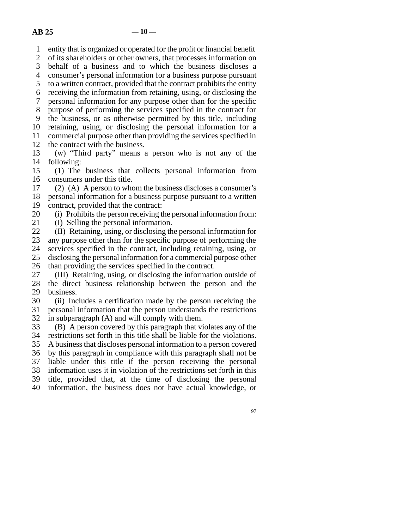line 1 entity that is organized or operated for the profit or financial benefit

2 of its shareholders or other owners, that processes information on<br>3 behalf of a business and to which the business discloses a

behalf of a business and to which the business discloses a

4 consumer's personal information for a business purpose pursuant

5 to a written contract, provided that the contract prohibits the entity

line 6 receiving the information from retaining, using, or disclosing the

7 personal information for any purpose other than for the specific 8 purpose of performing the services specified in the contract for

line 9 the business, or as otherwise permitted by this title, including

10 retaining, using, or disclosing the personal information for a

11 commercial purpose other than providing the services specified in 12 the contract with the business.

13 (w) "Third party" means a person who is not any of the 14 following:

15 (1) The business that collects personal information from 16 consumers under this title.

 $17$  (2) (A) A person to whom the business discloses a consumer's 18 personal information for a business purpose pursuant to a written 19 contract, provided that the contract:

20 (i) Prohibits the person receiving the personal information from:

21 (I) Selling the personal information.

22 (II) Retaining, using, or disclosing the personal information for<br>23 any purpose other than for the specific purpose of performing the any purpose other than for the specific purpose of performing the 24 services specified in the contract, including retaining, using, or disclosing the personal information for a commercial purpose other disclosing the personal information for a commercial purpose other 26 than providing the services specified in the contract.

27 (III) Retaining, using, or disclosing the information outside of 28 the direct business relationship between the person and the 29 business.

30 (ii) Includes a certification made by the person receiving the 31 personal information that the person understands the restrictions 32 in subparagraph  $(A)$  and will comply with them.

33 (B) A person covered by this paragraph that violates any of the 34 restrictions set forth in this title shall be liable for the violations. 35 A business that discloses personal information to a person covered

36 by this paragraph in compliance with this paragraph shall not be 37 liable under this title if the person receiving the personal

38 information uses it in violation of the restrictions set forth in this

39 title, provided that, at the time of disclosing the personal

40 information, the business does not have actual knowledge, or